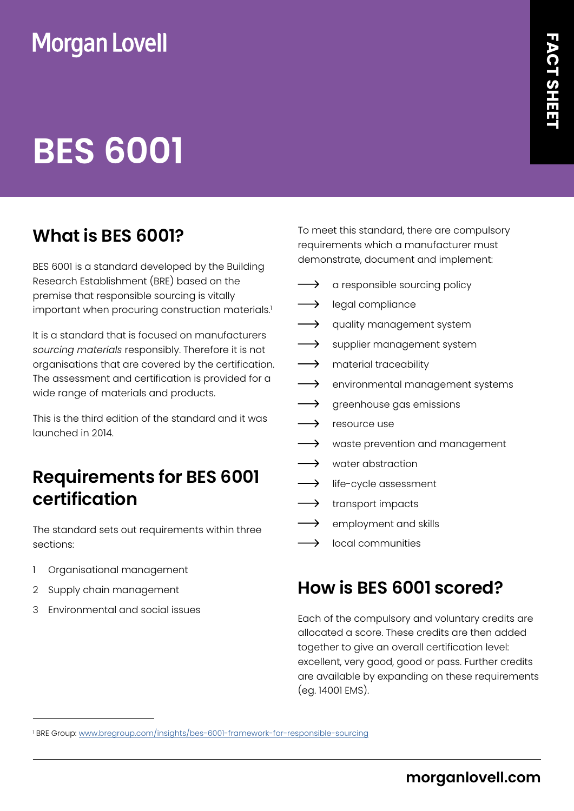## **Morgan Lovell**

# **BES 6001**

### **What is BES 6001?**

BES 6001 is a standard developed by the Building Research Establishment (BRE) based on the premise that responsible sourcing is vitally important when procuring construction materials.'

It is a standard that is focused on manufacturers *sourcing materials* responsibly. Therefore it is not organisations that are covered by the certification. The assessment and certification is provided for a wide range of materials and products.

This is the third edition of the standard and it was launched in 2014.

#### **Requirements for BES 6001 certification**

The standard sets out requirements within three sections:

- 1 Organisational management
- 2 Supply chain management
- 3 Environmental and social issues

To meet this standard, there are compulsory requirements which a manufacturer must demonstrate, document and implement:

- $\longrightarrow$  a responsible sourcing policy
- $\longrightarrow$  legal compliance
- $\rightarrow$  quality management system
- $\longrightarrow$  supplier management system
- $\longrightarrow$  material traceability
- $\longrightarrow$  environmental management systems
- $\longrightarrow$  greenhouse gas emissions
- → resource use
- $\longrightarrow$  waste prevention and management
- $\rightarrow$  water abstraction
- $\longrightarrow$  life-cycle assessment
- $\longrightarrow$  transport impacts
- $\longrightarrow$  employment and skills
- $\longrightarrow$  local communities

#### **How is BES 6001 scored?**

Each of the compulsory and voluntary credits are allocated a score. These credits are then added together to give an overall certification level: excellent, very good, good or pass. Further credits are available by expanding on these requirements (eg. 14001 EMS).

<sup>&</sup>lt;sup>1</sup> BRE Group: <u><www.bregroup.com/insights/bes-6001-framework-for-responsible-sourcing></u>